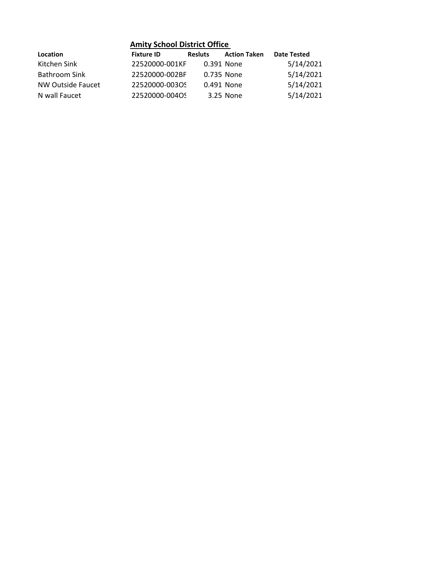| <b>Amity School District Office</b> |                   |                |                     |                    |  |  |
|-------------------------------------|-------------------|----------------|---------------------|--------------------|--|--|
| Location                            | <b>Fixture ID</b> | <b>Resluts</b> | <b>Action Taken</b> | <b>Date Tested</b> |  |  |
| Kitchen Sink                        | 22520000-001KF    | 0.391 None     |                     | 5/14/2021          |  |  |
| Bathroom Sink                       | 22520000-002BF    |                | 0.735 None          | 5/14/2021          |  |  |
| NW Outside Faucet                   | 22520000-00305    |                | 0.491 None          | 5/14/2021          |  |  |
| N wall Faucet                       | 22520000-004OS    |                | 3.25 None           | 5/14/2021          |  |  |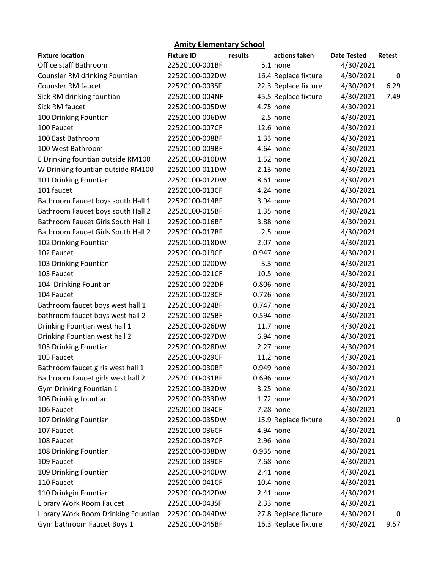## **Amity Elementary School**

| <b>Fixture location</b>             | <b>Fixture ID</b> | results    | actions taken        | <b>Date Tested</b> | Retest |
|-------------------------------------|-------------------|------------|----------------------|--------------------|--------|
| Office staff Bathroom               | 22520100-001BF    |            | 5.1 none             | 4/30/2021          |        |
| Counsler RM drinking Fountian       | 22520100-002DW    |            | 16.4 Replace fixture | 4/30/2021          | 0      |
| Counsler RM faucet                  | 22520100-003SF    |            | 22.3 Replace fixture | 4/30/2021          | 6.29   |
| Sick RM drinking fountian           | 22520100-004NF    |            | 45.5 Replace fixture | 4/30/2021          | 7.49   |
| Sick RM faucet                      | 22520100-005DW    |            | 4.75 none            | 4/30/2021          |        |
| 100 Drinking Fountian               | 22520100-006DW    |            | 2.5 none             | 4/30/2021          |        |
| 100 Faucet                          | 22520100-007CF    |            | 12.6 none            | 4/30/2021          |        |
| 100 East Bathroom                   | 22520100-008BF    |            | 1.33 none            | 4/30/2021          |        |
| 100 West Bathroom                   | 22520100-009BF    |            | 4.64 none            | 4/30/2021          |        |
| E Drinking fountian outside RM100   | 22520100-010DW    |            | 1.52 none            | 4/30/2021          |        |
| W Drinking fountian outside RM100   | 22520100-011DW    |            | $2.13$ none          | 4/30/2021          |        |
| 101 Drinking Fountian               | 22520100-012DW    |            | 8.61 none            | 4/30/2021          |        |
| 101 faucet                          | 22520100-013CF    |            | 4.24 none            | 4/30/2021          |        |
| Bathroom Faucet boys south Hall 1   | 22520100-014BF    |            | 3.94 none            | 4/30/2021          |        |
| Bathroom Faucet boys south Hall 2   | 22520100-015BF    |            | 1.35 none            | 4/30/2021          |        |
| Bathroom Faucet Girls South Hall 1  | 22520100-016BF    |            | 3.88 none            | 4/30/2021          |        |
| Bathroom Faucet Girls South Hall 2  | 22520100-017BF    |            | 2.5 none             | 4/30/2021          |        |
| 102 Drinking Fountian               | 22520100-018DW    |            | 2.07 none            | 4/30/2021          |        |
| 102 Faucet                          | 22520100-019CF    | 0.947 none |                      | 4/30/2021          |        |
| 103 Drinking Fountian               | 22520100-020DW    |            | 3.3 none             | 4/30/2021          |        |
| 103 Faucet                          | 22520100-021CF    |            | 10.5 none            | 4/30/2021          |        |
| 104 Drinking Fountian               | 22520100-022DF    | 0.806 none |                      | 4/30/2021          |        |
| 104 Faucet                          | 22520100-023CF    | 0.726 none |                      | 4/30/2021          |        |
| Bathroom faucet boys west hall 1    | 22520100-024BF    | 0.747 none |                      | 4/30/2021          |        |
| bathroom faucet boys west hall 2    | 22520100-025BF    | 0.594 none |                      | 4/30/2021          |        |
| Drinking Fountian west hall 1       | 22520100-026DW    |            | 11.7 none            | 4/30/2021          |        |
| Drinking Fountian west hall 2       | 22520100-027DW    |            | 6.94 none            | 4/30/2021          |        |
| 105 Drinking Fountian               | 22520100-028DW    |            | 2.27 none            | 4/30/2021          |        |
| 105 Faucet                          | 22520100-029CF    |            | 11.2 none            | 4/30/2021          |        |
| Bathroom faucet girls west hall 1   | 22520100-030BF    | 0.949 none |                      | 4/30/2021          |        |
| Bathroom Faucet girls west hall 2   | 22520100-031BF    | 0.696 none |                      | 4/30/2021          |        |
| Gym Drinking Fountian 1             | 22520100-032DW    |            | 3.25 none            | 4/30/2021          |        |
| 106 Drinking fountian               | 22520100-033DW    |            | 1.72 none            | 4/30/2021          |        |
| 106 Faucet                          | 22520100-034CF    |            | 7.28 none            | 4/30/2021          |        |
| 107 Drinking Fountian               | 22520100-035DW    |            | 15.9 Replace fixture | 4/30/2021          | 0      |
| 107 Faucet                          | 22520100-036CF    |            | 4.94 none            | 4/30/2021          |        |
| 108 Faucet                          | 22520100-037CF    |            | 2.96 none            | 4/30/2021          |        |
| 108 Drinking Fountian               | 22520100-038DW    | 0.935 none |                      | 4/30/2021          |        |
| 109 Faucet                          | 22520100-039CF    |            | 7.68 none            | 4/30/2021          |        |
| 109 Drinking Fountian               | 22520100-040DW    |            | 2.41 none            | 4/30/2021          |        |
| 110 Faucet                          | 22520100-041CF    |            | 10.4 none            | 4/30/2021          |        |
| 110 Drinkgin Fountian               | 22520100-042DW    |            | 2.41 none            | 4/30/2021          |        |
| Library Work Room Faucet            | 22520100-043SF    |            | 2.33 none            | 4/30/2021          |        |
| Library Work Room Drinking Fountian | 22520100-044DW    |            | 27.8 Replace fixture | 4/30/2021          | 0      |
| Gym bathroom Faucet Boys 1          | 22520100-045BF    |            | 16.3 Replace fixture | 4/30/2021          | 9.57   |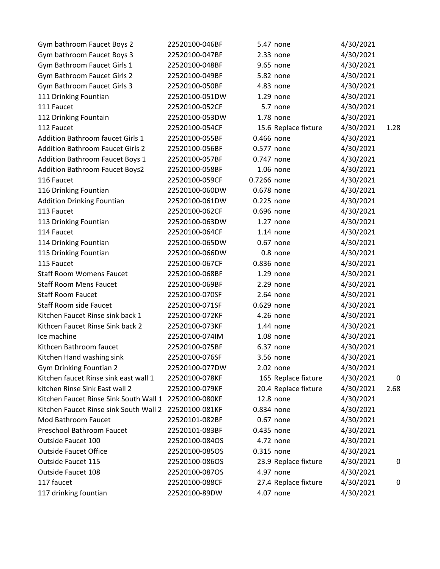| Gym bathroom Faucet Boys 2              | 22520100-046BF | 5.47 none            | 4/30/2021 |      |
|-----------------------------------------|----------------|----------------------|-----------|------|
| Gym bathroom Faucet Boys 3              | 22520100-047BF | 2.33 none            | 4/30/2021 |      |
| Gym Bathroom Faucet Girls 1             | 22520100-048BF | 9.65 none            | 4/30/2021 |      |
| Gym Bathroom Faucet Girls 2             | 22520100-049BF | 5.82 none            | 4/30/2021 |      |
| Gym Bathroom Faucet Girls 3             | 22520100-050BF | 4.83 none            | 4/30/2021 |      |
| 111 Drinking Fountian                   | 22520100-051DW | 1.29 none            | 4/30/2021 |      |
| 111 Faucet                              | 22520100-052CF | 5.7 none             | 4/30/2021 |      |
| 112 Drinking Fountain                   | 22520100-053DW | 1.78 none            | 4/30/2021 |      |
| 112 Faucet                              | 22520100-054CF | 15.6 Replace fixture | 4/30/2021 | 1.28 |
| <b>Addition Bathroom faucet Girls 1</b> | 22520100-055BF | 0.466 none           | 4/30/2021 |      |
| <b>Addition Bathroom Faucet Girls 2</b> | 22520100-056BF | 0.577 none           | 4/30/2021 |      |
| <b>Addition Bathroom Faucet Boys 1</b>  | 22520100-057BF | 0.747 none           | 4/30/2021 |      |
| <b>Addition Bathroom Faucet Boys2</b>   | 22520100-058BF | 1.06 none            | 4/30/2021 |      |
| 116 Faucet                              | 22520100-059CF | 0.7266 none          | 4/30/2021 |      |
| 116 Drinking Fountian                   | 22520100-060DW | 0.678 none           | 4/30/2021 |      |
| <b>Addition Drinking Fountian</b>       | 22520100-061DW | 0.225 none           | 4/30/2021 |      |
| 113 Faucet                              | 22520100-062CF | 0.696 none           | 4/30/2021 |      |
| 113 Drinking Fountian                   | 22520100-063DW | $1.27$ none          | 4/30/2021 |      |
| 114 Faucet                              | 22520100-064CF | $1.14$ none          | 4/30/2021 |      |
| 114 Drinking Fountian                   | 22520100-065DW | 0.67 none            | 4/30/2021 |      |
| 115 Drinking Fountian                   | 22520100-066DW | 0.8 none             | 4/30/2021 |      |
| 115 Faucet                              | 22520100-067CF | 0.836 none           | 4/30/2021 |      |
| <b>Staff Room Womens Faucet</b>         | 22520100-068BF | 1.29 none            | 4/30/2021 |      |
| <b>Staff Room Mens Faucet</b>           | 22520100-069BF | 2.29 none            | 4/30/2021 |      |
| <b>Staff Room Faucet</b>                | 22520100-070SF | 2.64 none            | 4/30/2021 |      |
| <b>Staff Room side Faucet</b>           | 22520100-071SF | 0.629 none           | 4/30/2021 |      |
| Kitchen Faucet Rinse sink back 1        | 22520100-072KF | 4.26 none            | 4/30/2021 |      |
| Kithcen Faucet Rinse Sink back 2        | 22520100-073KF | 1.44 none            | 4/30/2021 |      |
| Ice machine                             | 22520100-074IM | 1.08 none            | 4/30/2021 |      |
| Kithcen Bathroom faucet                 | 22520100-075BF | 6.37 none            | 4/30/2021 |      |
| Kitchen Hand washing sink               | 22520100-076SF | 3.56 none            | 4/30/2021 |      |
| <b>Gym Drinking Fountian 2</b>          | 22520100-077DW | 2.02 none            | 4/30/2021 |      |
| Kitchen faucet Rinse sink east wall 1   | 22520100-078KF | 165 Replace fixture  | 4/30/2021 | 0    |
| kitchen Rinse Sink East wall 2          | 22520100-079KF | 20.4 Replace fixture | 4/30/2021 | 2.68 |
| Kitchen Faucet Rinse Sink South Wall 1  | 22520100-080KF | 12.8 none            | 4/30/2021 |      |
| Kitchen Faucet Rinse sink South Wall 2  | 22520100-081KF | 0.834 none           | 4/30/2021 |      |
| Mod Bathroom Faucet                     | 22520101-082BF | 0.67 none            | 4/30/2021 |      |
| Preschool Bathroom Faucet               | 22520101-083BF | 0.435 none           | 4/30/2021 |      |
| Outside Faucet 100                      | 22520100-084OS | 4.72 none            | 4/30/2021 |      |
| <b>Outside Faucet Office</b>            | 22520100-085OS | 0.315 none           | 4/30/2021 |      |
| Outside Faucet 115                      | 22520100-086OS | 23.9 Replace fixture | 4/30/2021 | 0    |
| Outside Faucet 108                      | 22520100-087OS | 4.97 none            | 4/30/2021 |      |
| 117 faucet                              | 22520100-088CF | 27.4 Replace fixture | 4/30/2021 | 0    |
| 117 drinking fountian                   | 22520100-89DW  | 4.07 none            | 4/30/2021 |      |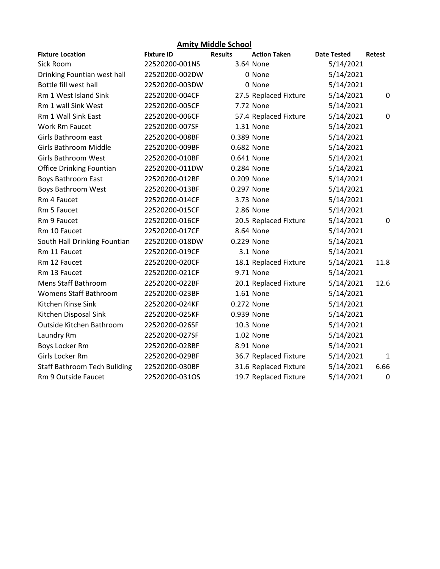| <b>Amity Middle School</b>          |                   |                |                       |                    |             |  |
|-------------------------------------|-------------------|----------------|-----------------------|--------------------|-------------|--|
| <b>Fixture Location</b>             | <b>Fixture ID</b> | <b>Results</b> | <b>Action Taken</b>   | <b>Date Tested</b> | Retest      |  |
| Sick Room                           | 22520200-001NS    |                | 3.64 None             | 5/14/2021          |             |  |
| Drinking Fountian west hall         | 22520200-002DW    |                | 0 None                | 5/14/2021          |             |  |
| Bottle fill west hall               | 22520200-003DW    |                | 0 None                | 5/14/2021          |             |  |
| Rm 1 West Island Sink               | 22520200-004CF    |                | 27.5 Replaced Fixture | 5/14/2021          | 0           |  |
| Rm 1 wall Sink West                 | 22520200-005CF    |                | 7.72 None             | 5/14/2021          |             |  |
| Rm 1 Wall Sink East                 | 22520200-006CF    |                | 57.4 Replaced Fixture | 5/14/2021          | $\mathbf 0$ |  |
| Work Rm Faucet                      | 22520200-007SF    |                | 1.31 None             | 5/14/2021          |             |  |
| Girls Bathroom east                 | 22520200-008BF    | 0.389 None     |                       | 5/14/2021          |             |  |
| Girls Bathroom Middle               | 22520200-009BF    | 0.682 None     |                       | 5/14/2021          |             |  |
| <b>Girls Bathroom West</b>          | 22520200-010BF    | 0.641 None     |                       | 5/14/2021          |             |  |
| <b>Office Drinking Fountian</b>     | 22520200-011DW    | 0.284 None     |                       | 5/14/2021          |             |  |
| <b>Boys Bathroom East</b>           | 22520200-012BF    | 0.209 None     |                       | 5/14/2021          |             |  |
| Boys Bathroom West                  | 22520200-013BF    | 0.297 None     |                       | 5/14/2021          |             |  |
| Rm 4 Faucet                         | 22520200-014CF    |                | 3.73 None             | 5/14/2021          |             |  |
| Rm 5 Faucet                         | 22520200-015CF    |                | 2.86 None             | 5/14/2021          |             |  |
| Rm 9 Faucet                         | 22520200-016CF    |                | 20.5 Replaced Fixture | 5/14/2021          | 0           |  |
| Rm 10 Faucet                        | 22520200-017CF    |                | 8.64 None             | 5/14/2021          |             |  |
| South Hall Drinking Fountian        | 22520200-018DW    | 0.229 None     |                       | 5/14/2021          |             |  |
| Rm 11 Faucet                        | 22520200-019CF    |                | 3.1 None              | 5/14/2021          |             |  |
| Rm 12 Faucet                        | 22520200-020CF    |                | 18.1 Replaced Fixture | 5/14/2021          | 11.8        |  |
| Rm 13 Faucet                        | 22520200-021CF    |                | 9.71 None             | 5/14/2021          |             |  |
| Mens Staff Bathroom                 | 22520200-022BF    |                | 20.1 Replaced Fixture | 5/14/2021          | 12.6        |  |
| Womens Staff Bathroom               | 22520200-023BF    |                | 1.61 None             | 5/14/2021          |             |  |
| Kitchen Rinse Sink                  | 22520200-024KF    | 0.272 None     |                       | 5/14/2021          |             |  |
| Kitchen Disposal Sink               | 22520200-025KF    | 0.939 None     |                       | 5/14/2021          |             |  |
| Outside Kitchen Bathroom            | 22520200-026SF    |                | 10.3 None             | 5/14/2021          |             |  |
| Laundry Rm                          | 22520200-027SF    |                | 1.02 None             | 5/14/2021          |             |  |
| Boys Locker Rm                      | 22520200-028BF    |                | 8.91 None             | 5/14/2021          |             |  |
| Girls Locker Rm                     | 22520200-029BF    |                | 36.7 Replaced Fixture | 5/14/2021          | 1           |  |
| <b>Staff Bathroom Tech Buliding</b> | 22520200-030BF    |                | 31.6 Replaced Fixture | 5/14/2021          | 6.66        |  |
| Rm 9 Outside Faucet                 | 22520200-031OS    |                | 19.7 Replaced Fixture | 5/14/2021          | $\mathbf 0$ |  |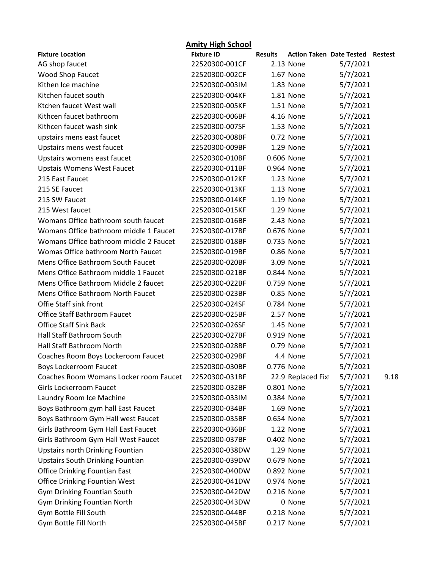| <b>Amity High School</b>                |                   |                |                                 |          |         |  |
|-----------------------------------------|-------------------|----------------|---------------------------------|----------|---------|--|
| <b>Fixture Location</b>                 | <b>Fixture ID</b> | <b>Results</b> | <b>Action Taken Date Tested</b> |          | Restest |  |
| AG shop faucet                          | 22520300-001CF    |                | 2.13 None                       | 5/7/2021 |         |  |
| <b>Wood Shop Faucet</b>                 | 22520300-002CF    |                | 1.67 None                       | 5/7/2021 |         |  |
| Kithen Ice machine                      | 22520300-003IM    |                | 1.83 None                       | 5/7/2021 |         |  |
| Kitchen faucet south                    | 22520300-004KF    |                | 1.81 None                       | 5/7/2021 |         |  |
| Ktchen faucet West wall                 | 22520300-005KF    |                | 1.51 None                       | 5/7/2021 |         |  |
| Kithcen faucet bathroom                 | 22520300-006BF    |                | 4.16 None                       | 5/7/2021 |         |  |
| Kithcen faucet wash sink                | 22520300-007SF    |                | 1.53 None                       | 5/7/2021 |         |  |
| upstairs mens east faucet               | 22520300-008BF    |                | 0.72 None                       | 5/7/2021 |         |  |
| Upstairs mens west faucet               | 22520300-009BF    |                | 1.29 None                       | 5/7/2021 |         |  |
| Upstairs womens east faucet             | 22520300-010BF    | 0.606 None     |                                 | 5/7/2021 |         |  |
| <b>Upstais Womens West Faucet</b>       | 22520300-011BF    | 0.964 None     |                                 | 5/7/2021 |         |  |
| 215 East Faucet                         | 22520300-012KF    |                | 1.23 None                       | 5/7/2021 |         |  |
| 215 SE Faucet                           | 22520300-013KF    |                | 1.13 None                       | 5/7/2021 |         |  |
| 215 SW Faucet                           | 22520300-014KF    |                | 1.19 None                       | 5/7/2021 |         |  |
| 215 West faucet                         | 22520300-015KF    |                | 1.29 None                       | 5/7/2021 |         |  |
| Womans Office bathroom south faucet     | 22520300-016BF    |                | 2.43 None                       | 5/7/2021 |         |  |
| Womans Office bathroom middle 1 Faucet  | 22520300-017BF    | 0.676 None     |                                 | 5/7/2021 |         |  |
| Womans Office bathroom middle 2 Faucet  | 22520300-018BF    |                | 0.735 None                      | 5/7/2021 |         |  |
| Womas Office bathroom North Faucet      | 22520300-019BF    |                | 0.86 None                       | 5/7/2021 |         |  |
| Mens Office Bathroom South Faucet       | 22520300-020BF    |                | 3.09 None                       | 5/7/2021 |         |  |
| Mens Office Bathroom middle 1 Faucet    | 22520300-021BF    | 0.844 None     |                                 | 5/7/2021 |         |  |
| Mens Office Bathroom Middle 2 faucet    | 22520300-022BF    |                | 0.759 None                      | 5/7/2021 |         |  |
| Mens Office Bathroom North Faucet       | 22520300-023BF    |                | 0.85 None                       | 5/7/2021 |         |  |
| Offie Staff sink front                  | 22520300-024SF    |                | 0.784 None                      | 5/7/2021 |         |  |
| <b>Office Staff Bathroom Faucet</b>     | 22520300-025BF    |                | 2.57 None                       | 5/7/2021 |         |  |
| <b>Office Staff Sink Back</b>           | 22520300-026SF    |                | 1.45 None                       | 5/7/2021 |         |  |
| Hall Staff Bathroom South               | 22520300-027BF    |                | 0.919 None                      | 5/7/2021 |         |  |
| <b>Hall Staff Bathroom North</b>        | 22520300-028BF    |                | 0.79 None                       | 5/7/2021 |         |  |
| Coaches Room Boys Lockeroom Faucet      | 22520300-029BF    |                | 4.4 None                        | 5/7/2021 |         |  |
| <b>Boys Lockerroom Faucet</b>           | 22520300-030BF    | 0.776 None     |                                 | 5/7/2021 |         |  |
| Coaches Room Womans Locker room Faucet  | 22520300-031BF    |                | 22.9 Replaced Fixt              | 5/7/2021 | 9.18    |  |
| Girls Lockerroom Faucet                 | 22520300-032BF    |                | 0.801 None                      | 5/7/2021 |         |  |
| Laundry Room Ice Machine                | 22520300-033IM    |                | 0.384 None                      | 5/7/2021 |         |  |
| Boys Bathroom gym hall East Faucet      | 22520300-034BF    |                | 1.69 None                       | 5/7/2021 |         |  |
| Boys Bathroom Gym Hall west Faucet      | 22520300-035BF    |                | 0.654 None                      | 5/7/2021 |         |  |
| Girls Bathroom Gym Hall East Faucet     | 22520300-036BF    |                | 1.22 None                       | 5/7/2021 |         |  |
| Girls Bathroom Gym Hall West Faucet     | 22520300-037BF    |                | 0.402 None                      | 5/7/2021 |         |  |
| <b>Upstairs north Drinking Fountian</b> | 22520300-038DW    |                | 1.29 None                       | 5/7/2021 |         |  |
| <b>Upstairs South Drinking Fountian</b> | 22520300-039DW    |                | 0.679 None                      | 5/7/2021 |         |  |
| <b>Office Drinking Fountian East</b>    | 22520300-040DW    |                | 0.892 None                      | 5/7/2021 |         |  |
| Office Drinking Fountian West           | 22520300-041DW    |                | 0.974 None                      | 5/7/2021 |         |  |
| Gym Drinking Fountian South             | 22520300-042DW    |                | 0.216 None                      | 5/7/2021 |         |  |
| Gym Drinking Fountian North             | 22520300-043DW    |                | 0 None                          | 5/7/2021 |         |  |
| Gym Bottle Fill South                   | 22520300-044BF    |                | 0.218 None                      | 5/7/2021 |         |  |
| Gym Bottle Fill North                   | 22520300-045BF    |                | 0.217 None                      | 5/7/2021 |         |  |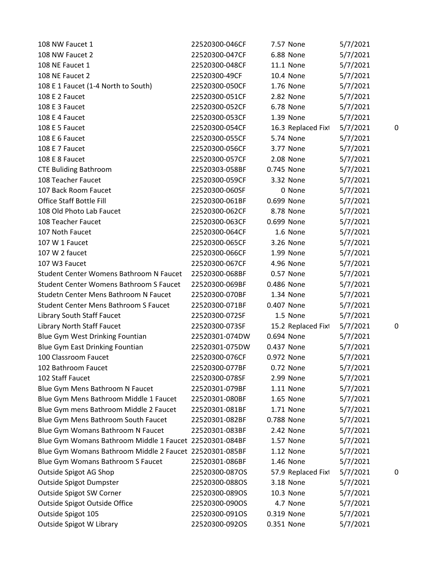| 108 NW Faucet 1                                         | 22520300-046CF | 7.57 None          | 5/7/2021 |   |
|---------------------------------------------------------|----------------|--------------------|----------|---|
| 108 NW Faucet 2                                         | 22520300-047CF | 6.88 None          | 5/7/2021 |   |
| 108 NE Faucet 1                                         | 22520300-048CF | 11.1 None          | 5/7/2021 |   |
| 108 NE Faucet 2                                         | 22520300-49CF  | 10.4 None          | 5/7/2021 |   |
| 108 E 1 Faucet (1-4 North to South)                     | 22520300-050CF | 1.76 None          | 5/7/2021 |   |
| 108 E 2 Faucet                                          | 22520300-051CF | 2.82 None          | 5/7/2021 |   |
| 108 E 3 Faucet                                          | 22520300-052CF | 6.78 None          | 5/7/2021 |   |
| 108 E 4 Faucet                                          | 22520300-053CF | 1.39 None          | 5/7/2021 |   |
| 108 E 5 Faucet                                          | 22520300-054CF | 16.3 Replaced Fixt | 5/7/2021 | С |
| 108 E 6 Faucet                                          | 22520300-055CF | 5.74 None          | 5/7/2021 |   |
| 108 E 7 Faucet                                          | 22520300-056CF | 3.77 None          | 5/7/2021 |   |
| 108 E 8 Faucet                                          | 22520300-057CF | 2.08 None          | 5/7/2021 |   |
| <b>CTE Buliding Bathroom</b>                            | 22520303-058BF | 0.745 None         | 5/7/2021 |   |
| 108 Teacher Faucet                                      | 22520300-059CF | 3.32 None          | 5/7/2021 |   |
| 107 Back Room Faucet                                    | 22520300-060SF | 0 None             | 5/7/2021 |   |
| <b>Office Staff Bottle Fill</b>                         | 22520300-061BF | 0.699 None         | 5/7/2021 |   |
| 108 Old Photo Lab Faucet                                | 22520300-062CF | 8.78 None          | 5/7/2021 |   |
| 108 Teacher Faucet                                      | 22520300-063CF | 0.699 None         | 5/7/2021 |   |
| 107 Noth Faucet                                         | 22520300-064CF | 1.6 None           | 5/7/2021 |   |
| 107 W 1 Faucet                                          | 22520300-065CF | 3.26 None          | 5/7/2021 |   |
| 107 W 2 faucet                                          | 22520300-066CF | 1.99 None          | 5/7/2021 |   |
| 107 W3 Faucet                                           | 22520300-067CF | 4.96 None          | 5/7/2021 |   |
| Student Center Womens Bathroom N Faucet                 | 22520300-068BF | 0.57 None          | 5/7/2021 |   |
| <b>Student Center Womens Bathroom S Faucet</b>          | 22520300-069BF | 0.486 None         | 5/7/2021 |   |
| Studetn Center Mens Bathroom N Faucet                   | 22520300-070BF | 1.34 None          | 5/7/2021 |   |
| <b>Student Center Mens Bathroom S Faucet</b>            | 22520300-071BF | 0.407 None         | 5/7/2021 |   |
| Library South Staff Faucet                              | 22520300-072SF | 1.5 None           | 5/7/2021 |   |
| Library North Staff Faucet                              | 22520300-073SF | 15.2 Replaced Fixt | 5/7/2021 | C |
| Blue Gym West Drinking Fountian                         | 22520301-074DW | 0.694 None         | 5/7/2021 |   |
| Blue Gym East Drinking Fountian                         | 22520301-075DW | 0.437 None         | 5/7/2021 |   |
| 100 Classroom Faucet                                    | 22520300-076CF | 0.972 None         | 5/7/2021 |   |
| 102 Bathroom Faucet                                     | 22520300-077BF | 0.72 None          | 5/7/2021 |   |
| 102 Staff Faucet                                        | 22520300-078SF | 2.99 None          | 5/7/2021 |   |
| Blue Gym Mens Bathroom N Faucet                         | 22520301-079BF | 1.11 None          | 5/7/2021 |   |
| Blue Gym Mens Bathroom Middle 1 Faucet                  | 22520301-080BF | 1.65 None          | 5/7/2021 |   |
| Blue Gym mens Bathroom Middle 2 Faucet                  | 22520301-081BF | 1.71 None          | 5/7/2021 |   |
| Blue Gym Mens Bathroom South Faucet                     | 22520301-082BF | 0.788 None         | 5/7/2021 |   |
| Blue Gym Womans Bathroom N Faucet                       | 22520301-083BF | 2.42 None          | 5/7/2021 |   |
| Blue Gym Womans Bathroom Middle 1 Faucet 22520301-084BF |                | 1.57 None          | 5/7/2021 |   |
| Blue Gym Womans Bathroom Middle 2 Faucet 22520301-085BF |                | 1.12 None          | 5/7/2021 |   |
| Blue Gym Womans Bathroom S Faucet                       | 22520301-086BF | 1.46 None          | 5/7/2021 |   |
| Outside Spigot AG Shop                                  | 22520300-087OS | 57.9 Replaced Fixt | 5/7/2021 |   |
| Outside Spigot Dumpster                                 | 22520300-088OS | 3.18 None          | 5/7/2021 |   |
| Outside Spigot SW Corner                                | 22520300-089OS | 10.3 None          | 5/7/2021 |   |
| Outside Spigot Outside Office                           | 22520300-090OS | 4.7 None           | 5/7/2021 |   |
| Outside Spigot 105                                      | 22520300-091OS | 0.319 None         | 5/7/2021 |   |
| Outside Spigot W Library                                | 22520300-092OS | 0.351 None         | 5/7/2021 |   |